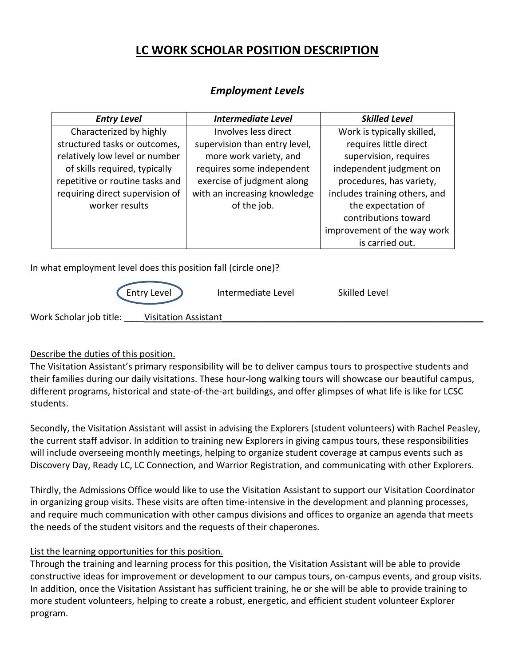# **LC WORK SCHOLAR POSITION DESCRIPTION**

| <b>Entry Level</b>              | <b>Intermediate Level</b>     | <b>Skilled Level</b>          |  |
|---------------------------------|-------------------------------|-------------------------------|--|
| Characterized by highly         | Involves less direct          | Work is typically skilled,    |  |
| structured tasks or outcomes,   | supervision than entry level, | requires little direct        |  |
| relatively low level or number  | more work variety, and        | supervision, requires         |  |
| of skills required, typically   | requires some independent     | independent judgment on       |  |
| repetitive or routine tasks and | exercise of judgment along    | procedures, has variety,      |  |
| requiring direct supervision of | with an increasing knowledge  | includes training others, and |  |
| worker results                  | of the job.                   | the expectation of            |  |
|                                 |                               | contributions toward          |  |
|                                 |                               | improvement of the way work   |  |
|                                 |                               | is carried out.               |  |
|                                 |                               |                               |  |

# *Employment Levels*

In what employment level does this position fall (circle one)?

|                         | Entry Level                 | Intermediate Level | Skilled Level |  |
|-------------------------|-----------------------------|--------------------|---------------|--|
| Work Scholar job title: | <b>Visitation Assistant</b> |                    |               |  |

## Describe the duties of this position.

The Visitation Assistant's primary responsibility will be to deliver campus tours to prospective students and their families during our daily visitations. These hour-long walking tours will showcase our beautiful campus, different programs, historical and state-of-the-art buildings, and offer glimpses of what life is like for LCSC students.

Secondly, the Visitation Assistant will assist in advising the Explorers (student volunteers) with Rachel Peasley, the current staff advisor. In addition to training new Explorers in giving campus tours, these responsibilities will include overseeing monthly meetings, helping to organize student coverage at campus events such as Discovery Day, Ready LC, LC Connection, and Warrior Registration, and communicating with other Explorers.

Thirdly, the Admissions Office would like to use the Visitation Assistant to support our Visitation Coordinator in organizing group visits. These visits are often time-intensive in the development and planning processes, and require much communication with other campus divisions and offices to organize an agenda that meets the needs of the student visitors and the requests of their chaperones.

#### List the learning opportunities for this position.

Through the training and learning process for this position, the Visitation Assistant will be able to provide constructive ideas for improvement or development to our campus tours, on-campus events, and group visits. In addition, once the Visitation Assistant has sufficient training, he or she will be able to provide training to more student volunteers, helping to create a robust, energetic, and efficient student volunteer Explorer program.